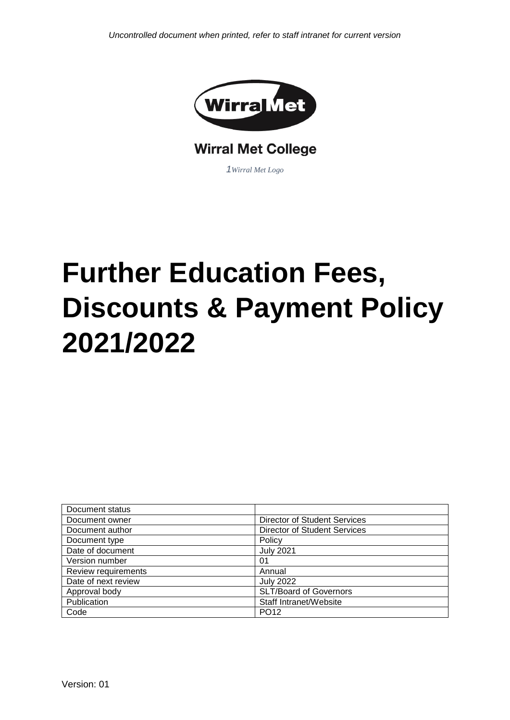

## **Wirral Met College**

*1Wirral Met Logo*

# **Further Education Fees, Discounts & Payment Policy 2021/2022**

| Document status     |                                     |  |
|---------------------|-------------------------------------|--|
| Document owner      | <b>Director of Student Services</b> |  |
| Document author     | Director of Student Services        |  |
| Document type       | Policy                              |  |
| Date of document    | <b>July 2021</b>                    |  |
| Version number      | 01                                  |  |
| Review requirements | Annual                              |  |
| Date of next review | <b>July 2022</b>                    |  |
| Approval body       | SLT/Board of Governors              |  |
| Publication         | Staff Intranet/Website              |  |
| Code                | PO <sub>12</sub>                    |  |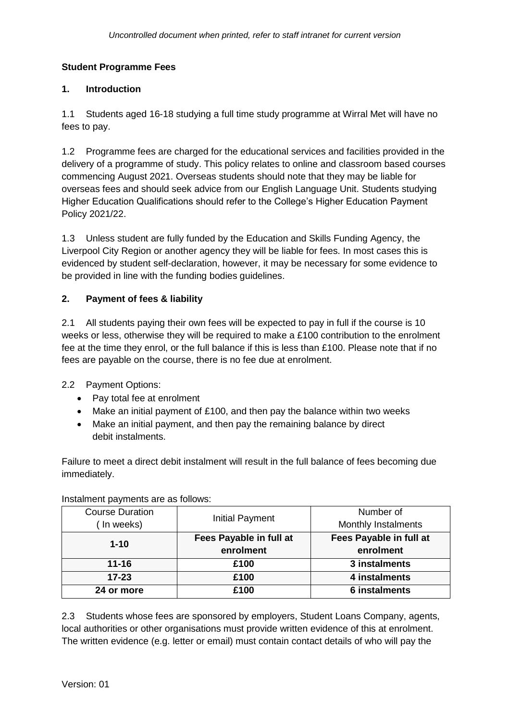### **Student Programme Fees**

#### **1. Introduction**

1.1 Students aged 16-18 studying a full time study programme at Wirral Met will have no fees to pay.

1.2 Programme fees are charged for the educational services and facilities provided in the delivery of a programme of study. This policy relates to online and classroom based courses commencing August 2021. Overseas students should note that they may be liable for overseas fees and should seek advice from our English Language Unit. Students studying Higher Education Qualifications should refer to the College's Higher Education Payment Policy 2021/22.

1.3 Unless student are fully funded by the Education and Skills Funding Agency, the Liverpool City Region or another agency they will be liable for fees. In most cases this is evidenced by student self-declaration, however, it may be necessary for some evidence to be provided in line with the funding bodies guidelines.

### **2. Payment of fees & liability**

2.1 All students paying their own fees will be expected to pay in full if the course is 10 weeks or less, otherwise they will be required to make a £100 contribution to the enrolment fee at the time they enrol, or the full balance if this is less than £100. Please note that if no fees are payable on the course, there is no fee due at enrolment.

2.2 Payment Options:

- Pay total fee at enrolment
- Make an initial payment of £100, and then pay the balance within two weeks
- Make an initial payment, and then pay the remaining balance by direct debit instalments.

Failure to meet a direct debit instalment will result in the full balance of fees becoming due immediately.

| <b>Course Duration</b><br>(In weeks) | <b>Initial Payment</b>               | Number of<br>Monthly Instalments     |
|--------------------------------------|--------------------------------------|--------------------------------------|
| $1 - 10$                             | Fees Payable in full at<br>enrolment | Fees Payable in full at<br>enrolment |
| $11 - 16$                            | £100                                 | 3 instalments                        |
| $17 - 23$                            | £100                                 | 4 instalments                        |
| 24 or more                           | £100                                 | <b>6 instalments</b>                 |

Instalment payments are as follows:

2.3 Students whose fees are sponsored by employers, Student Loans Company, agents, local authorities or other organisations must provide written evidence of this at enrolment. The written evidence (e.g. letter or email) must contain contact details of who will pay the